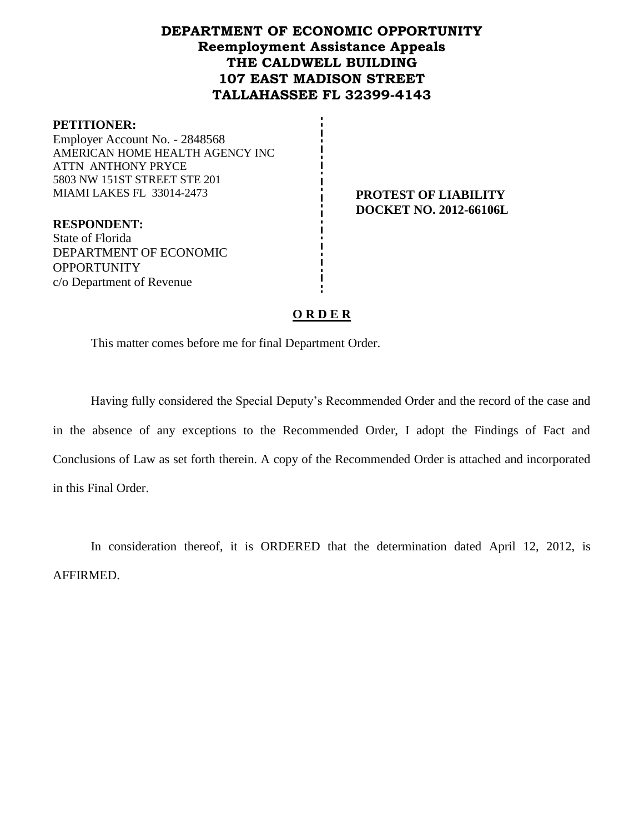## **DEPARTMENT OF ECONOMIC OPPORTUNITY Reemployment Assistance Appeals THE CALDWELL BUILDING 107 EAST MADISON STREET TALLAHASSEE FL 32399-4143**

### **PETITIONER:**

Employer Account No. - 2848568 AMERICAN HOME HEALTH AGENCY INC ATTN ANTHONY PRYCE 5803 NW 151ST STREET STE 201 MIAMI LAKES FL 33014-2473 **PROTEST OF LIABILITY**

**DOCKET NO. 2012-66106L**

**RESPONDENT:** State of Florida DEPARTMENT OF ECONOMIC **OPPORTUNITY** c/o Department of Revenue

### **O R D E R**

This matter comes before me for final Department Order.

Having fully considered the Special Deputy's Recommended Order and the record of the case and in the absence of any exceptions to the Recommended Order, I adopt the Findings of Fact and Conclusions of Law as set forth therein. A copy of the Recommended Order is attached and incorporated in this Final Order.

In consideration thereof, it is ORDERED that the determination dated April 12, 2012, is AFFIRMED.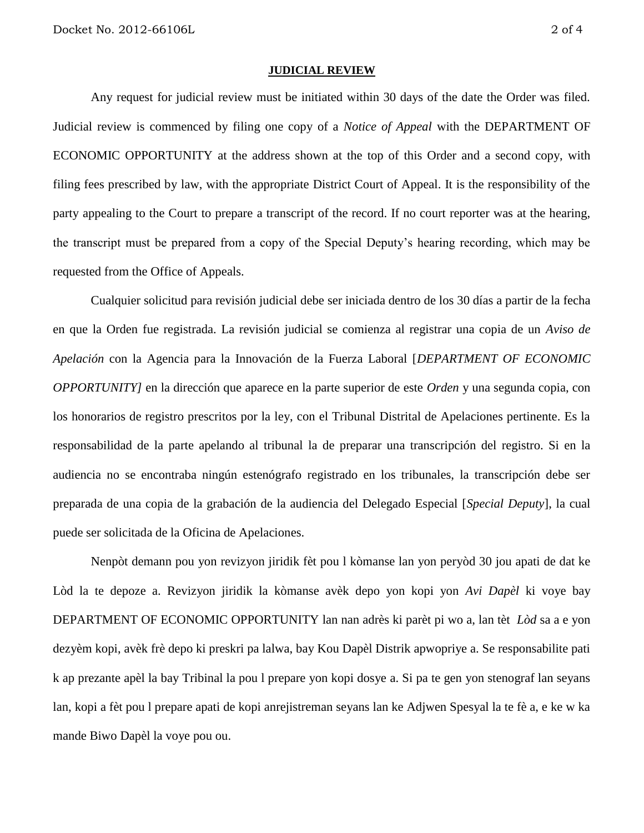#### **JUDICIAL REVIEW**

Any request for judicial review must be initiated within 30 days of the date the Order was filed. Judicial review is commenced by filing one copy of a *Notice of Appeal* with the DEPARTMENT OF ECONOMIC OPPORTUNITY at the address shown at the top of this Order and a second copy, with filing fees prescribed by law, with the appropriate District Court of Appeal. It is the responsibility of the party appealing to the Court to prepare a transcript of the record. If no court reporter was at the hearing, the transcript must be prepared from a copy of the Special Deputy's hearing recording, which may be requested from the Office of Appeals.

Cualquier solicitud para revisión judicial debe ser iniciada dentro de los 30 días a partir de la fecha en que la Orden fue registrada. La revisión judicial se comienza al registrar una copia de un *Aviso de Apelación* con la Agencia para la Innovación de la Fuerza Laboral [*DEPARTMENT OF ECONOMIC OPPORTUNITY]* en la dirección que aparece en la parte superior de este *Orden* y una segunda copia, con los honorarios de registro prescritos por la ley, con el Tribunal Distrital de Apelaciones pertinente. Es la responsabilidad de la parte apelando al tribunal la de preparar una transcripción del registro. Si en la audiencia no se encontraba ningún estenógrafo registrado en los tribunales, la transcripción debe ser preparada de una copia de la grabación de la audiencia del Delegado Especial [*Special Deputy*], la cual puede ser solicitada de la Oficina de Apelaciones.

Nenpòt demann pou yon revizyon jiridik fèt pou l kòmanse lan yon peryòd 30 jou apati de dat ke Lòd la te depoze a. Revizyon jiridik la kòmanse avèk depo yon kopi yon *Avi Dapèl* ki voye bay DEPARTMENT OF ECONOMIC OPPORTUNITY lan nan adrès ki parèt pi wo a, lan tèt *Lòd* sa a e yon dezyèm kopi, avèk frè depo ki preskri pa lalwa, bay Kou Dapèl Distrik apwopriye a. Se responsabilite pati k ap prezante apèl la bay Tribinal la pou l prepare yon kopi dosye a. Si pa te gen yon stenograf lan seyans lan, kopi a fèt pou l prepare apati de kopi anrejistreman seyans lan ke Adjwen Spesyal la te fè a, e ke w ka mande Biwo Dapèl la voye pou ou.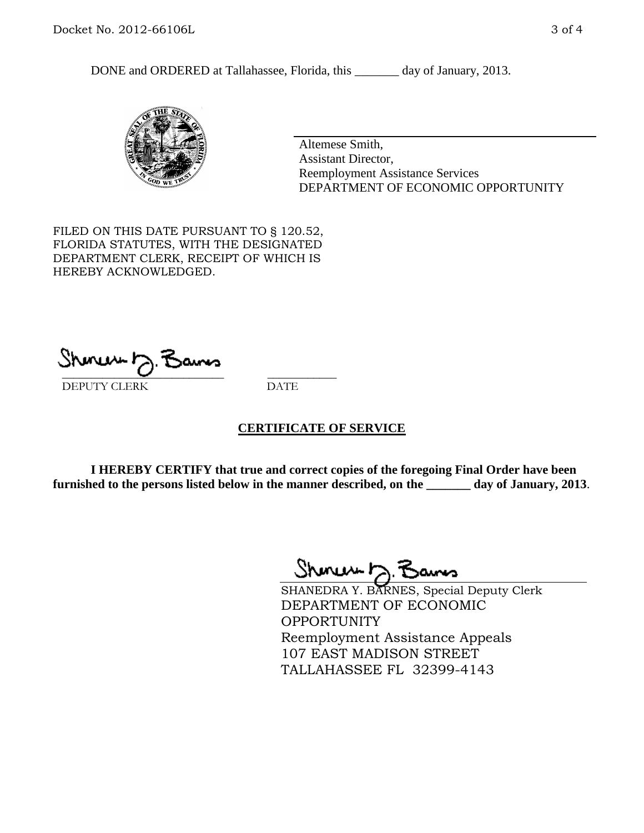DONE and ORDERED at Tallahassee, Florida, this \_\_\_\_\_\_\_ day of January, 2013.



Altemese Smith, Assistant Director, Reemployment Assistance Services DEPARTMENT OF ECONOMIC OPPORTUNITY

FILED ON THIS DATE PURSUANT TO § 120.52, FLORIDA STATUTES, WITH THE DESIGNATED DEPARTMENT CLERK, RECEIPT OF WHICH IS HEREBY ACKNOWLEDGED.

 $\overline{\phantom{a}}$  ,  $\overline{\phantom{a}}$  ,  $\overline{\phantom{a}}$  ,  $\overline{\phantom{a}}$  ,  $\overline{\phantom{a}}$  ,  $\overline{\phantom{a}}$  ,  $\overline{\phantom{a}}$  ,  $\overline{\phantom{a}}$  ,  $\overline{\phantom{a}}$  ,  $\overline{\phantom{a}}$  ,  $\overline{\phantom{a}}$  ,  $\overline{\phantom{a}}$  ,  $\overline{\phantom{a}}$  ,  $\overline{\phantom{a}}$  ,  $\overline{\phantom{a}}$  ,  $\overline{\phantom{a}}$ DEPUTY CLERK DATE

### **CERTIFICATE OF SERVICE**

**I HEREBY CERTIFY that true and correct copies of the foregoing Final Order have been furnished to the persons listed below in the manner described, on the \_\_\_\_\_\_\_ day of January, 2013**.

 $ShmumE, F$ 

SHANEDRA Y. BARNES, Special Deputy Clerk DEPARTMENT OF ECONOMIC OPPORTUNITY Reemployment Assistance Appeals 107 EAST MADISON STREET TALLAHASSEE FL 32399-4143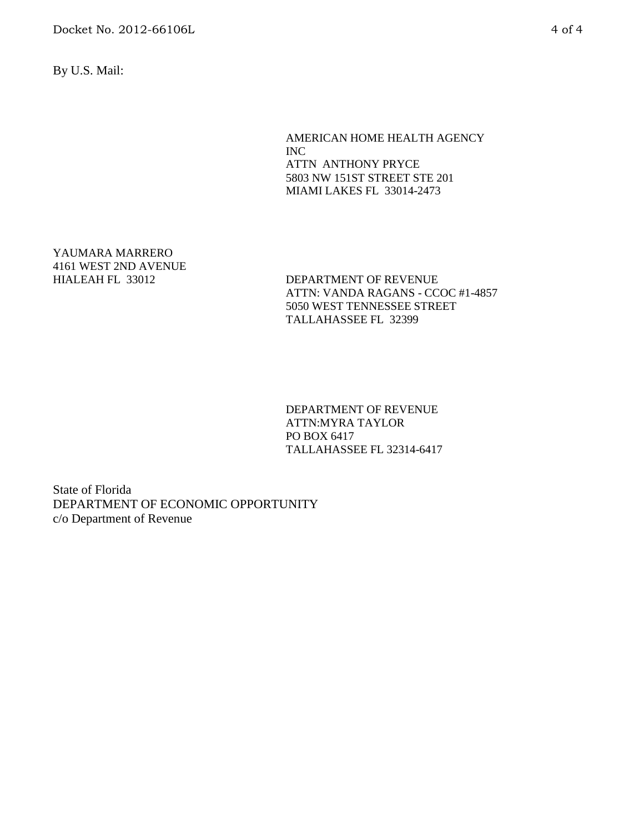Docket No. 2012-66106L 4 of 4

By U.S. Mail:

AMERICAN HOME HEALTH AGENCY INC ATTN ANTHONY PRYCE 5803 NW 151ST STREET STE 201 MIAMI LAKES FL 33014-2473

YAUMARA MARRERO 4161 WEST 2ND AVENUE

DEPARTMENT OF REVENUE ATTN: VANDA RAGANS - CCOC #1-4857 5050 WEST TENNESSEE STREET TALLAHASSEE FL 32399

DEPARTMENT OF REVENUE ATTN:MYRA TAYLOR PO BOX 6417 TALLAHASSEE FL 32314-6417

State of Florida DEPARTMENT OF ECONOMIC OPPORTUNITY c/o Department of Revenue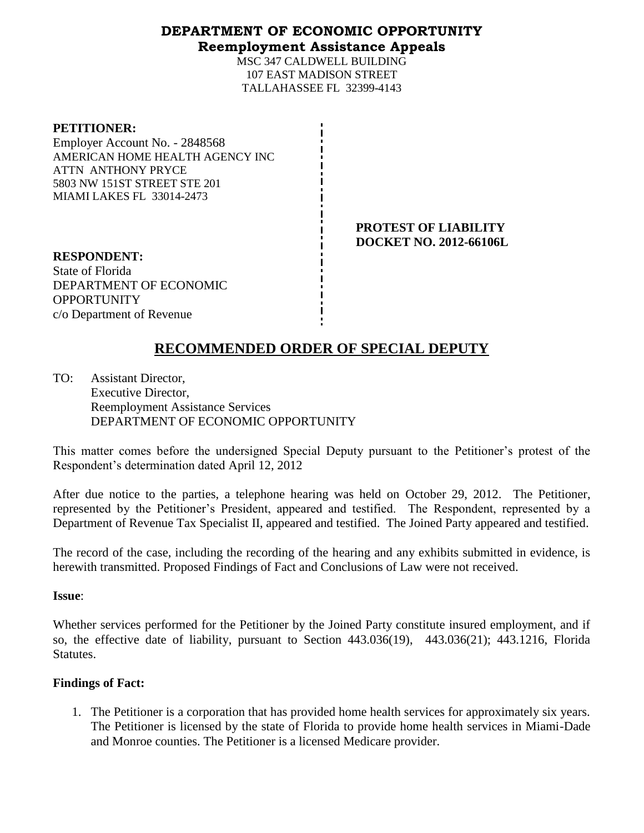## **DEPARTMENT OF ECONOMIC OPPORTUNITY Reemployment Assistance Appeals**

MSC 347 CALDWELL BUILDING 107 EAST MADISON STREET TALLAHASSEE FL 32399-4143

| <b>PETITIONER:</b> |
|--------------------|
|--------------------|

Employer Account No. - 2848568 AMERICAN HOME HEALTH AGENCY INC ATTN ANTHONY PRYCE 5803 NW 151ST STREET STE 201 MIAMI LAKES FL 33014-2473

> **PROTEST OF LIABILITY DOCKET NO. 2012-66106L**

**RESPONDENT:** State of Florida DEPARTMENT OF ECONOMIC **OPPORTUNITY** c/o Department of Revenue

# **RECOMMENDED ORDER OF SPECIAL DEPUTY**

TO: Assistant Director, Executive Director, Reemployment Assistance Services DEPARTMENT OF ECONOMIC OPPORTUNITY

This matter comes before the undersigned Special Deputy pursuant to the Petitioner's protest of the Respondent's determination dated April 12, 2012

After due notice to the parties, a telephone hearing was held on October 29, 2012. The Petitioner, represented by the Petitioner's President, appeared and testified. The Respondent, represented by a Department of Revenue Tax Specialist II, appeared and testified. The Joined Party appeared and testified.

The record of the case, including the recording of the hearing and any exhibits submitted in evidence, is herewith transmitted. Proposed Findings of Fact and Conclusions of Law were not received.

### **Issue**:

Whether services performed for the Petitioner by the Joined Party constitute insured employment, and if so, the effective date of liability, pursuant to Section 443.036(19), 443.036(21); 443.1216, Florida Statutes.

## **Findings of Fact:**

1. The Petitioner is a corporation that has provided home health services for approximately six years. The Petitioner is licensed by the state of Florida to provide home health services in Miami-Dade and Monroe counties. The Petitioner is a licensed Medicare provider.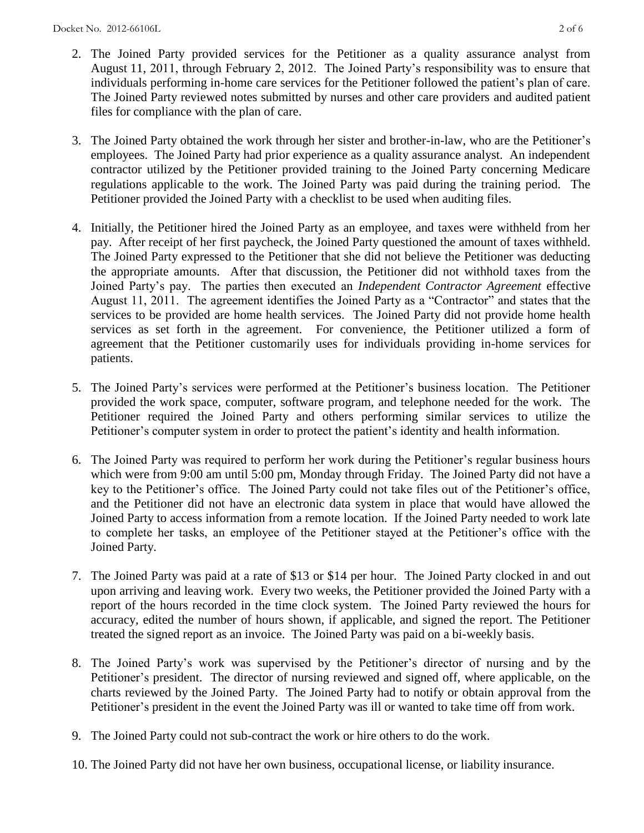- 2. The Joined Party provided services for the Petitioner as a quality assurance analyst from August 11, 2011, through February 2, 2012. The Joined Party's responsibility was to ensure that individuals performing in-home care services for the Petitioner followed the patient's plan of care. The Joined Party reviewed notes submitted by nurses and other care providers and audited patient files for compliance with the plan of care.
- 3. The Joined Party obtained the work through her sister and brother-in-law, who are the Petitioner's employees. The Joined Party had prior experience as a quality assurance analyst. An independent contractor utilized by the Petitioner provided training to the Joined Party concerning Medicare regulations applicable to the work. The Joined Party was paid during the training period. The Petitioner provided the Joined Party with a checklist to be used when auditing files.
- 4. Initially, the Petitioner hired the Joined Party as an employee, and taxes were withheld from her pay. After receipt of her first paycheck, the Joined Party questioned the amount of taxes withheld. The Joined Party expressed to the Petitioner that she did not believe the Petitioner was deducting the appropriate amounts. After that discussion, the Petitioner did not withhold taxes from the Joined Party's pay. The parties then executed an *Independent Contractor Agreement* effective August 11, 2011. The agreement identifies the Joined Party as a "Contractor" and states that the services to be provided are home health services. The Joined Party did not provide home health services as set forth in the agreement. For convenience, the Petitioner utilized a form of agreement that the Petitioner customarily uses for individuals providing in-home services for patients.
- 5. The Joined Party's services were performed at the Petitioner's business location. The Petitioner provided the work space, computer, software program, and telephone needed for the work. The Petitioner required the Joined Party and others performing similar services to utilize the Petitioner's computer system in order to protect the patient's identity and health information.
- 6. The Joined Party was required to perform her work during the Petitioner's regular business hours which were from 9:00 am until 5:00 pm, Monday through Friday. The Joined Party did not have a key to the Petitioner's office. The Joined Party could not take files out of the Petitioner's office, and the Petitioner did not have an electronic data system in place that would have allowed the Joined Party to access information from a remote location. If the Joined Party needed to work late to complete her tasks, an employee of the Petitioner stayed at the Petitioner's office with the Joined Party.
- 7. The Joined Party was paid at a rate of \$13 or \$14 per hour. The Joined Party clocked in and out upon arriving and leaving work. Every two weeks, the Petitioner provided the Joined Party with a report of the hours recorded in the time clock system. The Joined Party reviewed the hours for accuracy, edited the number of hours shown, if applicable, and signed the report. The Petitioner treated the signed report as an invoice. The Joined Party was paid on a bi-weekly basis.
- 8. The Joined Party's work was supervised by the Petitioner's director of nursing and by the Petitioner's president. The director of nursing reviewed and signed off, where applicable, on the charts reviewed by the Joined Party. The Joined Party had to notify or obtain approval from the Petitioner's president in the event the Joined Party was ill or wanted to take time off from work.
- 9. The Joined Party could not sub-contract the work or hire others to do the work.
- 10. The Joined Party did not have her own business, occupational license, or liability insurance.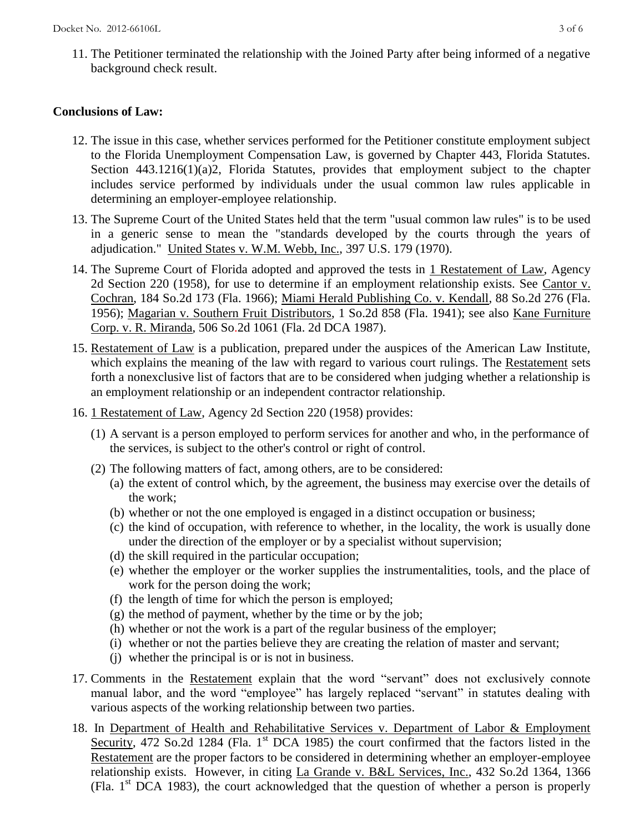11. The Petitioner terminated the relationship with the Joined Party after being informed of a negative background check result.

### **Conclusions of Law:**

- 12. The issue in this case, whether services performed for the Petitioner constitute employment subject to the Florida Unemployment Compensation Law, is governed by Chapter 443, Florida Statutes. Section 443.1216(1)(a)2, Florida Statutes, provides that employment subject to the chapter includes service performed by individuals under the usual common law rules applicable in determining an employer-employee relationship.
- 13. The Supreme Court of the United States held that the term "usual common law rules" is to be used in a generic sense to mean the "standards developed by the courts through the years of adjudication." United States v. W.M. Webb, Inc., 397 U.S. 179 (1970).
- 14. The Supreme Court of Florida adopted and approved the tests in 1 Restatement of Law, Agency 2d Section 220 (1958), for use to determine if an employment relationship exists. See Cantor v. Cochran, 184 So.2d 173 (Fla. 1966); Miami Herald Publishing Co. v. Kendall, 88 So.2d 276 (Fla. 1956); Magarian v. Southern Fruit Distributors, 1 So.2d 858 (Fla. 1941); see also Kane Furniture Corp. v. R. Miranda, 506 So.2d 1061 (Fla. 2d DCA 1987).
- 15. Restatement of Law is a publication, prepared under the auspices of the American Law Institute, which explains the meaning of the law with regard to various court rulings. The Restatement sets forth a nonexclusive list of factors that are to be considered when judging whether a relationship is an employment relationship or an independent contractor relationship.
- 16. 1 Restatement of Law, Agency 2d Section 220 (1958) provides:
	- (1) A servant is a person employed to perform services for another and who, in the performance of the services, is subject to the other's control or right of control.
	- (2) The following matters of fact, among others, are to be considered:
		- (a) the extent of control which, by the agreement, the business may exercise over the details of the work;
		- (b) whether or not the one employed is engaged in a distinct occupation or business;
		- (c) the kind of occupation, with reference to whether, in the locality, the work is usually done under the direction of the employer or by a specialist without supervision;
		- (d) the skill required in the particular occupation;
		- (e) whether the employer or the worker supplies the instrumentalities, tools, and the place of work for the person doing the work;
		- (f) the length of time for which the person is employed;
		- $(g)$  the method of payment, whether by the time or by the job;
		- (h) whether or not the work is a part of the regular business of the employer;
		- (i) whether or not the parties believe they are creating the relation of master and servant;
		- (j) whether the principal is or is not in business.
- 17. Comments in the Restatement explain that the word "servant" does not exclusively connote manual labor, and the word "employee" has largely replaced "servant" in statutes dealing with various aspects of the working relationship between two parties.
- 18. In Department of Health and Rehabilitative Services v. Department of Labor & Employment Security, 472 So.2d 1284 (Fla. 1<sup>st</sup> DCA 1985) the court confirmed that the factors listed in the Restatement are the proper factors to be considered in determining whether an employer-employee relationship exists. However, in citing La Grande v. B&L Services, Inc., 432 So.2d 1364, 1366 (Fla.  $1<sup>st</sup> DCA$  1983), the court acknowledged that the question of whether a person is properly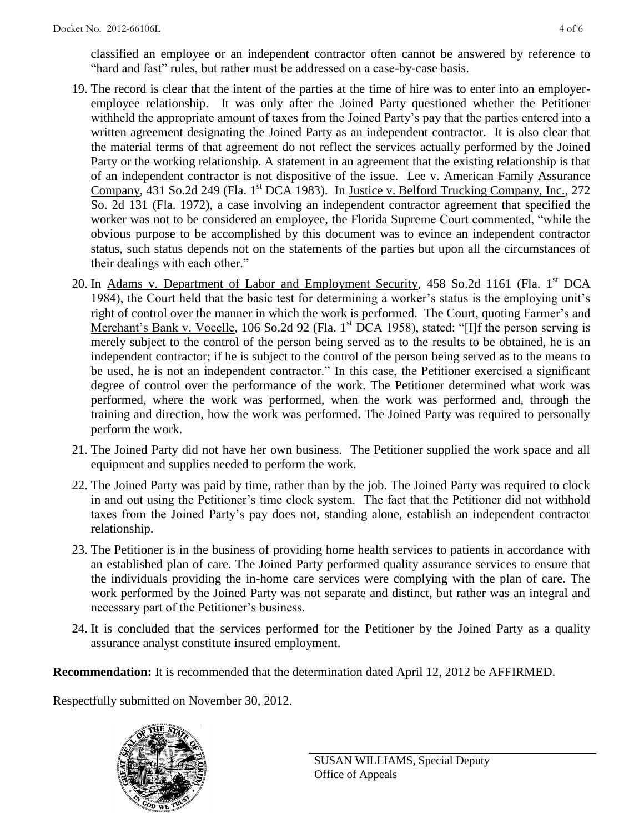classified an employee or an independent contractor often cannot be answered by reference to "hard and fast" rules, but rather must be addressed on a case-by-case basis.

- 19. The record is clear that the intent of the parties at the time of hire was to enter into an employeremployee relationship. It was only after the Joined Party questioned whether the Petitioner withheld the appropriate amount of taxes from the Joined Party's pay that the parties entered into a written agreement designating the Joined Party as an independent contractor. It is also clear that the material terms of that agreement do not reflect the services actually performed by the Joined Party or the working relationship. A statement in an agreement that the existing relationship is that of an independent contractor is not dispositive of the issue. Lee v. American Family Assurance Company, 431 So.2d 249 (Fla. 1<sup>st</sup> DCA 1983). In Justice v. Belford Trucking Company, Inc., 272 So. 2d 131 (Fla. 1972), a case involving an independent contractor agreement that specified the worker was not to be considered an employee, the Florida Supreme Court commented, "while the obvious purpose to be accomplished by this document was to evince an independent contractor status, such status depends not on the statements of the parties but upon all the circumstances of their dealings with each other."
- 20. In Adams v. Department of Labor and Employment Security, 458 So.2d 1161 (Fla. 1<sup>st</sup> DCA 1984), the Court held that the basic test for determining a worker's status is the employing unit's right of control over the manner in which the work is performed. The Court, quoting Farmer's and Merchant's Bank v. Vocelle, 106 So.2d 92 (Fla. 1<sup>st</sup> DCA 1958), stated: "[I]f the person serving is merely subject to the control of the person being served as to the results to be obtained, he is an independent contractor; if he is subject to the control of the person being served as to the means to be used, he is not an independent contractor." In this case, the Petitioner exercised a significant degree of control over the performance of the work. The Petitioner determined what work was performed, where the work was performed, when the work was performed and, through the training and direction, how the work was performed. The Joined Party was required to personally perform the work.
- 21. The Joined Party did not have her own business. The Petitioner supplied the work space and all equipment and supplies needed to perform the work.
- 22. The Joined Party was paid by time, rather than by the job. The Joined Party was required to clock in and out using the Petitioner's time clock system. The fact that the Petitioner did not withhold taxes from the Joined Party's pay does not, standing alone, establish an independent contractor relationship.
- 23. The Petitioner is in the business of providing home health services to patients in accordance with an established plan of care. The Joined Party performed quality assurance services to ensure that the individuals providing the in-home care services were complying with the plan of care. The work performed by the Joined Party was not separate and distinct, but rather was an integral and necessary part of the Petitioner's business.
- 24. It is concluded that the services performed for the Petitioner by the Joined Party as a quality assurance analyst constitute insured employment.

**Recommendation:** It is recommended that the determination dated April 12, 2012 be AFFIRMED.

Respectfully submitted on November 30, 2012.

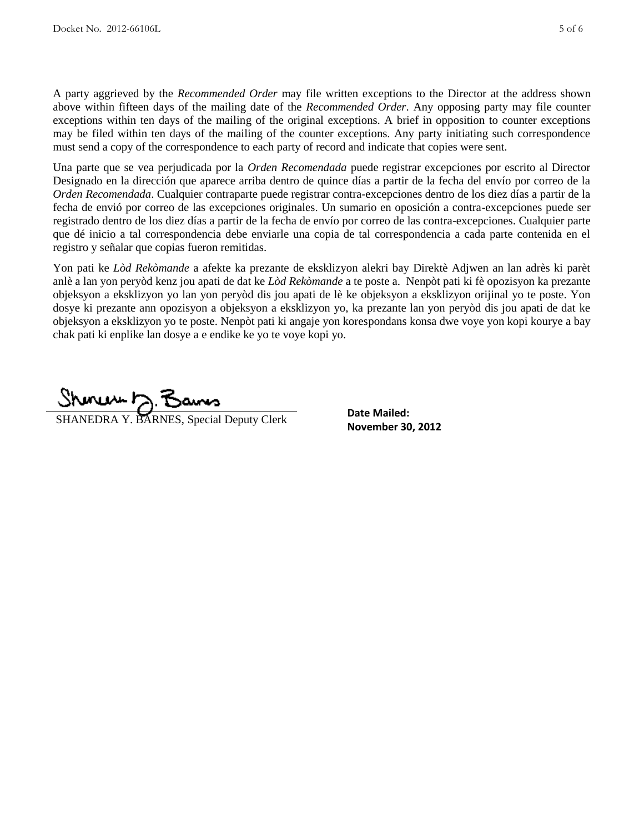A party aggrieved by the *Recommended Order* may file written exceptions to the Director at the address shown above within fifteen days of the mailing date of the *Recommended Order*. Any opposing party may file counter exceptions within ten days of the mailing of the original exceptions. A brief in opposition to counter exceptions may be filed within ten days of the mailing of the counter exceptions. Any party initiating such correspondence must send a copy of the correspondence to each party of record and indicate that copies were sent.

Una parte que se vea perjudicada por la *Orden Recomendada* puede registrar excepciones por escrito al Director Designado en la dirección que aparece arriba dentro de quince días a partir de la fecha del envío por correo de la *Orden Recomendada*. Cualquier contraparte puede registrar contra-excepciones dentro de los diez días a partir de la fecha de envió por correo de las excepciones originales. Un sumario en oposición a contra-excepciones puede ser registrado dentro de los diez días a partir de la fecha de envío por correo de las contra-excepciones. Cualquier parte que dé inicio a tal correspondencia debe enviarle una copia de tal correspondencia a cada parte contenida en el registro y señalar que copias fueron remitidas.

Yon pati ke *Lòd Rekòmande* a afekte ka prezante de eksklizyon alekri bay Direktè Adjwen an lan adrès ki parèt anlè a lan yon peryòd kenz jou apati de dat ke *Lòd Rekòmande* a te poste a. Nenpòt pati ki fè opozisyon ka prezante objeksyon a eksklizyon yo lan yon peryòd dis jou apati de lè ke objeksyon a eksklizyon orijinal yo te poste. Yon dosye ki prezante ann opozisyon a objeksyon a eksklizyon yo, ka prezante lan yon peryòd dis jou apati de dat ke objeksyon a eksklizyon yo te poste. Nenpòt pati ki angaje yon korespondans konsa dwe voye yon kopi kourye a bay chak pati ki enplike lan dosye a e endike ke yo te voye kopi yo.

 $m \sim h$ **SHANEDRA Y. BARNES, Special Deputy Clerk Date Malled: November 30, 2012** 

**Date Mailed:**